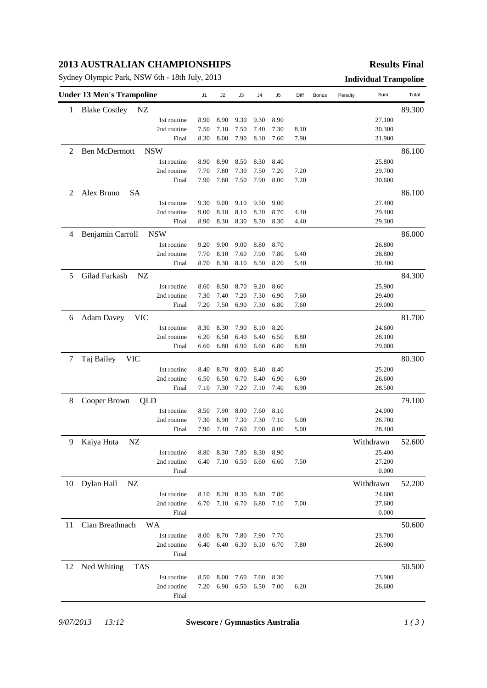## **2013 AUSTRALIAN CHAMPIONSHIPS**

Sydney Olympic Park, NSW 6th - 18th July, 2013 **Individual Trampoline**

### **Results Final**

| <b>Blake Costley</b><br>NZ<br>1<br>1st routine<br>8.90<br>9.30<br>9.30<br>27.100<br>8.90<br>8.90<br>2nd routine<br>7.50<br>7.10<br>7.50<br>7.40<br>7.30<br>8.10<br>30.300<br>8.30<br>8.00<br>7.90<br>8.10<br>7.60<br>7.90<br>31.900<br>Final<br><b>Ben McDermott</b><br><b>NSW</b><br>2<br>25.800<br>8.90<br>8.90<br>8.50<br>8.30<br>8.40<br>1st routine<br>2nd routine<br>7.70<br>7.80<br>7.30<br>7.50<br>7.20<br>7.20<br>29.700<br>7.60<br>7.50<br>7.90<br>8.00<br>7.20<br>30.600<br>Final<br>7.90<br>Alex Bruno<br><b>SA</b><br>2<br>1st routine<br>9.30<br>9.00<br>9.10<br>9.00<br>27.400<br>9.50<br>2nd routine<br>9.00<br>8.10<br>8.10<br>8.20<br>8.70<br>29.400<br>4.40<br>8.90<br>8.30<br>8.30<br>8.30<br>8.30<br>29.300<br>Final<br>4.40<br>Benjamin Carroll<br><b>NSW</b><br>4<br>26.800<br>1st routine<br>9.20<br>9.00<br>9.00<br>8.80<br>8.70<br>2nd routine<br>7.70<br>8.10<br>7.60<br>7.90<br>7.80<br>5.40<br>28.800<br>8.70<br>8.30<br>8.10<br>8.50<br>8.20<br>5.40<br>30.400<br>Final<br>5<br>Gilad Farkash<br>NZ<br>84.300<br>1st routine<br>8.70<br>25.900<br>8.60<br>8.50<br>9.20<br>8.60<br>7.20<br>7.30<br>2nd routine<br>7.30<br>7.40<br>6.90<br>7.60<br>29.400<br>7.20<br>7.50<br>6.90<br>7.30<br>6.80<br>29.000<br>Final<br>7.60<br><b>Adam Davey</b><br><b>VIC</b><br>81.700<br>6<br>1st routine<br>8.30<br>8.30<br>7.90<br>8.10<br>8.20<br>24.600<br>6.50<br>6.40<br>2nd routine<br>6.20<br>6.40<br>6.50<br>8.80<br>28.100<br>6.80<br>6.90<br>6.60<br>6.80<br>8.80<br>29.000<br>Final<br>6.60<br>Taj Bailey<br>80.300<br>7<br><b>VIC</b><br>1st routine<br>8.40<br>8.70<br>8.00<br>8.40<br>8.40<br>25.200<br>6.70<br>2nd routine<br>6.50<br>6.50<br>6.40<br>6.90<br>6.90<br>26.600<br>7.10<br>7.30<br>7.20<br>7.10<br>7.40<br>28.500<br>Final<br>6.90<br>79.100<br>Cooper Brown<br>8<br>QLD<br>1st routine<br>8.00<br>24.000<br>8.50<br>7.90<br>7.60<br>8.10<br>7.30<br>2nd routine<br>7.30<br>6.90<br>7.30<br>7.10<br>5.00<br>26.700<br>7.90<br>7.40<br>7.60<br>7.90<br>8.00<br>5.00<br>Final<br>28.400<br>Kaiya Huta<br>NZ<br>9<br>Withdrawn<br>25.400<br>8.80<br>8.30 7.80<br>8.30<br>8.90<br>1st routine<br>6.40<br>7.10 6.50 6.60 6.60<br>27.200<br>2nd routine<br>7.50<br>0.000<br>Final<br>Dylan Hall<br>10<br>NZ<br>Withdrawn<br>24.600<br>1st routine<br>8.10<br>8.20 8.30<br>8.40<br>7.80<br>2nd routine<br>6.70<br>7.10 6.70<br>6.80<br>7.10<br>7.00<br>27.600<br>0.000<br>Final<br>11<br>Cian Breathnach<br>WA<br>50.600<br>23.700<br>1st routine<br>8.00<br>8.70<br>7.80<br>7.90<br>7.70<br>2nd routine<br>6.40<br>6.40<br>6.30<br>6.10<br>6.70<br>7.80<br>26.900<br>Final |    | <b>Under 13 Men's Trampoline</b> | J1 | J2 | J3 | J4 | J5 | Diff | Bonus | Penalty | Sum | Total  |
|-------------------------------------------------------------------------------------------------------------------------------------------------------------------------------------------------------------------------------------------------------------------------------------------------------------------------------------------------------------------------------------------------------------------------------------------------------------------------------------------------------------------------------------------------------------------------------------------------------------------------------------------------------------------------------------------------------------------------------------------------------------------------------------------------------------------------------------------------------------------------------------------------------------------------------------------------------------------------------------------------------------------------------------------------------------------------------------------------------------------------------------------------------------------------------------------------------------------------------------------------------------------------------------------------------------------------------------------------------------------------------------------------------------------------------------------------------------------------------------------------------------------------------------------------------------------------------------------------------------------------------------------------------------------------------------------------------------------------------------------------------------------------------------------------------------------------------------------------------------------------------------------------------------------------------------------------------------------------------------------------------------------------------------------------------------------------------------------------------------------------------------------------------------------------------------------------------------------------------------------------------------------------------------------------------------------------------------------------------------------------------------------------------------------------------------------------------------------------------------------------------------------------------------------------------------------------------------------------------------------|----|----------------------------------|----|----|----|----|----|------|-------|---------|-----|--------|
|                                                                                                                                                                                                                                                                                                                                                                                                                                                                                                                                                                                                                                                                                                                                                                                                                                                                                                                                                                                                                                                                                                                                                                                                                                                                                                                                                                                                                                                                                                                                                                                                                                                                                                                                                                                                                                                                                                                                                                                                                                                                                                                                                                                                                                                                                                                                                                                                                                                                                                                                                                                                                   |    |                                  |    |    |    |    |    |      |       |         |     | 89.300 |
|                                                                                                                                                                                                                                                                                                                                                                                                                                                                                                                                                                                                                                                                                                                                                                                                                                                                                                                                                                                                                                                                                                                                                                                                                                                                                                                                                                                                                                                                                                                                                                                                                                                                                                                                                                                                                                                                                                                                                                                                                                                                                                                                                                                                                                                                                                                                                                                                                                                                                                                                                                                                                   |    |                                  |    |    |    |    |    |      |       |         |     |        |
|                                                                                                                                                                                                                                                                                                                                                                                                                                                                                                                                                                                                                                                                                                                                                                                                                                                                                                                                                                                                                                                                                                                                                                                                                                                                                                                                                                                                                                                                                                                                                                                                                                                                                                                                                                                                                                                                                                                                                                                                                                                                                                                                                                                                                                                                                                                                                                                                                                                                                                                                                                                                                   |    |                                  |    |    |    |    |    |      |       |         |     |        |
|                                                                                                                                                                                                                                                                                                                                                                                                                                                                                                                                                                                                                                                                                                                                                                                                                                                                                                                                                                                                                                                                                                                                                                                                                                                                                                                                                                                                                                                                                                                                                                                                                                                                                                                                                                                                                                                                                                                                                                                                                                                                                                                                                                                                                                                                                                                                                                                                                                                                                                                                                                                                                   |    |                                  |    |    |    |    |    |      |       |         |     |        |
|                                                                                                                                                                                                                                                                                                                                                                                                                                                                                                                                                                                                                                                                                                                                                                                                                                                                                                                                                                                                                                                                                                                                                                                                                                                                                                                                                                                                                                                                                                                                                                                                                                                                                                                                                                                                                                                                                                                                                                                                                                                                                                                                                                                                                                                                                                                                                                                                                                                                                                                                                                                                                   |    |                                  |    |    |    |    |    |      |       |         |     | 86.100 |
|                                                                                                                                                                                                                                                                                                                                                                                                                                                                                                                                                                                                                                                                                                                                                                                                                                                                                                                                                                                                                                                                                                                                                                                                                                                                                                                                                                                                                                                                                                                                                                                                                                                                                                                                                                                                                                                                                                                                                                                                                                                                                                                                                                                                                                                                                                                                                                                                                                                                                                                                                                                                                   |    |                                  |    |    |    |    |    |      |       |         |     |        |
|                                                                                                                                                                                                                                                                                                                                                                                                                                                                                                                                                                                                                                                                                                                                                                                                                                                                                                                                                                                                                                                                                                                                                                                                                                                                                                                                                                                                                                                                                                                                                                                                                                                                                                                                                                                                                                                                                                                                                                                                                                                                                                                                                                                                                                                                                                                                                                                                                                                                                                                                                                                                                   |    |                                  |    |    |    |    |    |      |       |         |     |        |
|                                                                                                                                                                                                                                                                                                                                                                                                                                                                                                                                                                                                                                                                                                                                                                                                                                                                                                                                                                                                                                                                                                                                                                                                                                                                                                                                                                                                                                                                                                                                                                                                                                                                                                                                                                                                                                                                                                                                                                                                                                                                                                                                                                                                                                                                                                                                                                                                                                                                                                                                                                                                                   |    |                                  |    |    |    |    |    |      |       |         |     |        |
|                                                                                                                                                                                                                                                                                                                                                                                                                                                                                                                                                                                                                                                                                                                                                                                                                                                                                                                                                                                                                                                                                                                                                                                                                                                                                                                                                                                                                                                                                                                                                                                                                                                                                                                                                                                                                                                                                                                                                                                                                                                                                                                                                                                                                                                                                                                                                                                                                                                                                                                                                                                                                   |    |                                  |    |    |    |    |    |      |       |         |     | 86.100 |
|                                                                                                                                                                                                                                                                                                                                                                                                                                                                                                                                                                                                                                                                                                                                                                                                                                                                                                                                                                                                                                                                                                                                                                                                                                                                                                                                                                                                                                                                                                                                                                                                                                                                                                                                                                                                                                                                                                                                                                                                                                                                                                                                                                                                                                                                                                                                                                                                                                                                                                                                                                                                                   |    |                                  |    |    |    |    |    |      |       |         |     |        |
|                                                                                                                                                                                                                                                                                                                                                                                                                                                                                                                                                                                                                                                                                                                                                                                                                                                                                                                                                                                                                                                                                                                                                                                                                                                                                                                                                                                                                                                                                                                                                                                                                                                                                                                                                                                                                                                                                                                                                                                                                                                                                                                                                                                                                                                                                                                                                                                                                                                                                                                                                                                                                   |    |                                  |    |    |    |    |    |      |       |         |     |        |
|                                                                                                                                                                                                                                                                                                                                                                                                                                                                                                                                                                                                                                                                                                                                                                                                                                                                                                                                                                                                                                                                                                                                                                                                                                                                                                                                                                                                                                                                                                                                                                                                                                                                                                                                                                                                                                                                                                                                                                                                                                                                                                                                                                                                                                                                                                                                                                                                                                                                                                                                                                                                                   |    |                                  |    |    |    |    |    |      |       |         |     |        |
|                                                                                                                                                                                                                                                                                                                                                                                                                                                                                                                                                                                                                                                                                                                                                                                                                                                                                                                                                                                                                                                                                                                                                                                                                                                                                                                                                                                                                                                                                                                                                                                                                                                                                                                                                                                                                                                                                                                                                                                                                                                                                                                                                                                                                                                                                                                                                                                                                                                                                                                                                                                                                   |    |                                  |    |    |    |    |    |      |       |         |     | 86.000 |
|                                                                                                                                                                                                                                                                                                                                                                                                                                                                                                                                                                                                                                                                                                                                                                                                                                                                                                                                                                                                                                                                                                                                                                                                                                                                                                                                                                                                                                                                                                                                                                                                                                                                                                                                                                                                                                                                                                                                                                                                                                                                                                                                                                                                                                                                                                                                                                                                                                                                                                                                                                                                                   |    |                                  |    |    |    |    |    |      |       |         |     |        |
|                                                                                                                                                                                                                                                                                                                                                                                                                                                                                                                                                                                                                                                                                                                                                                                                                                                                                                                                                                                                                                                                                                                                                                                                                                                                                                                                                                                                                                                                                                                                                                                                                                                                                                                                                                                                                                                                                                                                                                                                                                                                                                                                                                                                                                                                                                                                                                                                                                                                                                                                                                                                                   |    |                                  |    |    |    |    |    |      |       |         |     |        |
|                                                                                                                                                                                                                                                                                                                                                                                                                                                                                                                                                                                                                                                                                                                                                                                                                                                                                                                                                                                                                                                                                                                                                                                                                                                                                                                                                                                                                                                                                                                                                                                                                                                                                                                                                                                                                                                                                                                                                                                                                                                                                                                                                                                                                                                                                                                                                                                                                                                                                                                                                                                                                   |    |                                  |    |    |    |    |    |      |       |         |     |        |
|                                                                                                                                                                                                                                                                                                                                                                                                                                                                                                                                                                                                                                                                                                                                                                                                                                                                                                                                                                                                                                                                                                                                                                                                                                                                                                                                                                                                                                                                                                                                                                                                                                                                                                                                                                                                                                                                                                                                                                                                                                                                                                                                                                                                                                                                                                                                                                                                                                                                                                                                                                                                                   |    |                                  |    |    |    |    |    |      |       |         |     |        |
|                                                                                                                                                                                                                                                                                                                                                                                                                                                                                                                                                                                                                                                                                                                                                                                                                                                                                                                                                                                                                                                                                                                                                                                                                                                                                                                                                                                                                                                                                                                                                                                                                                                                                                                                                                                                                                                                                                                                                                                                                                                                                                                                                                                                                                                                                                                                                                                                                                                                                                                                                                                                                   |    |                                  |    |    |    |    |    |      |       |         |     |        |
|                                                                                                                                                                                                                                                                                                                                                                                                                                                                                                                                                                                                                                                                                                                                                                                                                                                                                                                                                                                                                                                                                                                                                                                                                                                                                                                                                                                                                                                                                                                                                                                                                                                                                                                                                                                                                                                                                                                                                                                                                                                                                                                                                                                                                                                                                                                                                                                                                                                                                                                                                                                                                   |    |                                  |    |    |    |    |    |      |       |         |     |        |
|                                                                                                                                                                                                                                                                                                                                                                                                                                                                                                                                                                                                                                                                                                                                                                                                                                                                                                                                                                                                                                                                                                                                                                                                                                                                                                                                                                                                                                                                                                                                                                                                                                                                                                                                                                                                                                                                                                                                                                                                                                                                                                                                                                                                                                                                                                                                                                                                                                                                                                                                                                                                                   |    |                                  |    |    |    |    |    |      |       |         |     |        |
|                                                                                                                                                                                                                                                                                                                                                                                                                                                                                                                                                                                                                                                                                                                                                                                                                                                                                                                                                                                                                                                                                                                                                                                                                                                                                                                                                                                                                                                                                                                                                                                                                                                                                                                                                                                                                                                                                                                                                                                                                                                                                                                                                                                                                                                                                                                                                                                                                                                                                                                                                                                                                   |    |                                  |    |    |    |    |    |      |       |         |     |        |
|                                                                                                                                                                                                                                                                                                                                                                                                                                                                                                                                                                                                                                                                                                                                                                                                                                                                                                                                                                                                                                                                                                                                                                                                                                                                                                                                                                                                                                                                                                                                                                                                                                                                                                                                                                                                                                                                                                                                                                                                                                                                                                                                                                                                                                                                                                                                                                                                                                                                                                                                                                                                                   |    |                                  |    |    |    |    |    |      |       |         |     |        |
|                                                                                                                                                                                                                                                                                                                                                                                                                                                                                                                                                                                                                                                                                                                                                                                                                                                                                                                                                                                                                                                                                                                                                                                                                                                                                                                                                                                                                                                                                                                                                                                                                                                                                                                                                                                                                                                                                                                                                                                                                                                                                                                                                                                                                                                                                                                                                                                                                                                                                                                                                                                                                   |    |                                  |    |    |    |    |    |      |       |         |     |        |
|                                                                                                                                                                                                                                                                                                                                                                                                                                                                                                                                                                                                                                                                                                                                                                                                                                                                                                                                                                                                                                                                                                                                                                                                                                                                                                                                                                                                                                                                                                                                                                                                                                                                                                                                                                                                                                                                                                                                                                                                                                                                                                                                                                                                                                                                                                                                                                                                                                                                                                                                                                                                                   |    |                                  |    |    |    |    |    |      |       |         |     |        |
|                                                                                                                                                                                                                                                                                                                                                                                                                                                                                                                                                                                                                                                                                                                                                                                                                                                                                                                                                                                                                                                                                                                                                                                                                                                                                                                                                                                                                                                                                                                                                                                                                                                                                                                                                                                                                                                                                                                                                                                                                                                                                                                                                                                                                                                                                                                                                                                                                                                                                                                                                                                                                   |    |                                  |    |    |    |    |    |      |       |         |     |        |
|                                                                                                                                                                                                                                                                                                                                                                                                                                                                                                                                                                                                                                                                                                                                                                                                                                                                                                                                                                                                                                                                                                                                                                                                                                                                                                                                                                                                                                                                                                                                                                                                                                                                                                                                                                                                                                                                                                                                                                                                                                                                                                                                                                                                                                                                                                                                                                                                                                                                                                                                                                                                                   |    |                                  |    |    |    |    |    |      |       |         |     |        |
|                                                                                                                                                                                                                                                                                                                                                                                                                                                                                                                                                                                                                                                                                                                                                                                                                                                                                                                                                                                                                                                                                                                                                                                                                                                                                                                                                                                                                                                                                                                                                                                                                                                                                                                                                                                                                                                                                                                                                                                                                                                                                                                                                                                                                                                                                                                                                                                                                                                                                                                                                                                                                   |    |                                  |    |    |    |    |    |      |       |         |     |        |
|                                                                                                                                                                                                                                                                                                                                                                                                                                                                                                                                                                                                                                                                                                                                                                                                                                                                                                                                                                                                                                                                                                                                                                                                                                                                                                                                                                                                                                                                                                                                                                                                                                                                                                                                                                                                                                                                                                                                                                                                                                                                                                                                                                                                                                                                                                                                                                                                                                                                                                                                                                                                                   |    |                                  |    |    |    |    |    |      |       |         |     |        |
|                                                                                                                                                                                                                                                                                                                                                                                                                                                                                                                                                                                                                                                                                                                                                                                                                                                                                                                                                                                                                                                                                                                                                                                                                                                                                                                                                                                                                                                                                                                                                                                                                                                                                                                                                                                                                                                                                                                                                                                                                                                                                                                                                                                                                                                                                                                                                                                                                                                                                                                                                                                                                   |    |                                  |    |    |    |    |    |      |       |         |     |        |
|                                                                                                                                                                                                                                                                                                                                                                                                                                                                                                                                                                                                                                                                                                                                                                                                                                                                                                                                                                                                                                                                                                                                                                                                                                                                                                                                                                                                                                                                                                                                                                                                                                                                                                                                                                                                                                                                                                                                                                                                                                                                                                                                                                                                                                                                                                                                                                                                                                                                                                                                                                                                                   |    |                                  |    |    |    |    |    |      |       |         |     |        |
|                                                                                                                                                                                                                                                                                                                                                                                                                                                                                                                                                                                                                                                                                                                                                                                                                                                                                                                                                                                                                                                                                                                                                                                                                                                                                                                                                                                                                                                                                                                                                                                                                                                                                                                                                                                                                                                                                                                                                                                                                                                                                                                                                                                                                                                                                                                                                                                                                                                                                                                                                                                                                   |    |                                  |    |    |    |    |    |      |       |         |     |        |
|                                                                                                                                                                                                                                                                                                                                                                                                                                                                                                                                                                                                                                                                                                                                                                                                                                                                                                                                                                                                                                                                                                                                                                                                                                                                                                                                                                                                                                                                                                                                                                                                                                                                                                                                                                                                                                                                                                                                                                                                                                                                                                                                                                                                                                                                                                                                                                                                                                                                                                                                                                                                                   |    |                                  |    |    |    |    |    |      |       |         |     |        |
|                                                                                                                                                                                                                                                                                                                                                                                                                                                                                                                                                                                                                                                                                                                                                                                                                                                                                                                                                                                                                                                                                                                                                                                                                                                                                                                                                                                                                                                                                                                                                                                                                                                                                                                                                                                                                                                                                                                                                                                                                                                                                                                                                                                                                                                                                                                                                                                                                                                                                                                                                                                                                   |    |                                  |    |    |    |    |    |      |       |         |     |        |
|                                                                                                                                                                                                                                                                                                                                                                                                                                                                                                                                                                                                                                                                                                                                                                                                                                                                                                                                                                                                                                                                                                                                                                                                                                                                                                                                                                                                                                                                                                                                                                                                                                                                                                                                                                                                                                                                                                                                                                                                                                                                                                                                                                                                                                                                                                                                                                                                                                                                                                                                                                                                                   |    |                                  |    |    |    |    |    |      |       |         |     | 52.600 |
|                                                                                                                                                                                                                                                                                                                                                                                                                                                                                                                                                                                                                                                                                                                                                                                                                                                                                                                                                                                                                                                                                                                                                                                                                                                                                                                                                                                                                                                                                                                                                                                                                                                                                                                                                                                                                                                                                                                                                                                                                                                                                                                                                                                                                                                                                                                                                                                                                                                                                                                                                                                                                   |    |                                  |    |    |    |    |    |      |       |         |     |        |
|                                                                                                                                                                                                                                                                                                                                                                                                                                                                                                                                                                                                                                                                                                                                                                                                                                                                                                                                                                                                                                                                                                                                                                                                                                                                                                                                                                                                                                                                                                                                                                                                                                                                                                                                                                                                                                                                                                                                                                                                                                                                                                                                                                                                                                                                                                                                                                                                                                                                                                                                                                                                                   |    |                                  |    |    |    |    |    |      |       |         |     |        |
|                                                                                                                                                                                                                                                                                                                                                                                                                                                                                                                                                                                                                                                                                                                                                                                                                                                                                                                                                                                                                                                                                                                                                                                                                                                                                                                                                                                                                                                                                                                                                                                                                                                                                                                                                                                                                                                                                                                                                                                                                                                                                                                                                                                                                                                                                                                                                                                                                                                                                                                                                                                                                   |    |                                  |    |    |    |    |    |      |       |         |     |        |
|                                                                                                                                                                                                                                                                                                                                                                                                                                                                                                                                                                                                                                                                                                                                                                                                                                                                                                                                                                                                                                                                                                                                                                                                                                                                                                                                                                                                                                                                                                                                                                                                                                                                                                                                                                                                                                                                                                                                                                                                                                                                                                                                                                                                                                                                                                                                                                                                                                                                                                                                                                                                                   |    |                                  |    |    |    |    |    |      |       |         |     | 52.200 |
|                                                                                                                                                                                                                                                                                                                                                                                                                                                                                                                                                                                                                                                                                                                                                                                                                                                                                                                                                                                                                                                                                                                                                                                                                                                                                                                                                                                                                                                                                                                                                                                                                                                                                                                                                                                                                                                                                                                                                                                                                                                                                                                                                                                                                                                                                                                                                                                                                                                                                                                                                                                                                   |    |                                  |    |    |    |    |    |      |       |         |     |        |
|                                                                                                                                                                                                                                                                                                                                                                                                                                                                                                                                                                                                                                                                                                                                                                                                                                                                                                                                                                                                                                                                                                                                                                                                                                                                                                                                                                                                                                                                                                                                                                                                                                                                                                                                                                                                                                                                                                                                                                                                                                                                                                                                                                                                                                                                                                                                                                                                                                                                                                                                                                                                                   |    |                                  |    |    |    |    |    |      |       |         |     |        |
|                                                                                                                                                                                                                                                                                                                                                                                                                                                                                                                                                                                                                                                                                                                                                                                                                                                                                                                                                                                                                                                                                                                                                                                                                                                                                                                                                                                                                                                                                                                                                                                                                                                                                                                                                                                                                                                                                                                                                                                                                                                                                                                                                                                                                                                                                                                                                                                                                                                                                                                                                                                                                   |    |                                  |    |    |    |    |    |      |       |         |     |        |
|                                                                                                                                                                                                                                                                                                                                                                                                                                                                                                                                                                                                                                                                                                                                                                                                                                                                                                                                                                                                                                                                                                                                                                                                                                                                                                                                                                                                                                                                                                                                                                                                                                                                                                                                                                                                                                                                                                                                                                                                                                                                                                                                                                                                                                                                                                                                                                                                                                                                                                                                                                                                                   |    |                                  |    |    |    |    |    |      |       |         |     |        |
|                                                                                                                                                                                                                                                                                                                                                                                                                                                                                                                                                                                                                                                                                                                                                                                                                                                                                                                                                                                                                                                                                                                                                                                                                                                                                                                                                                                                                                                                                                                                                                                                                                                                                                                                                                                                                                                                                                                                                                                                                                                                                                                                                                                                                                                                                                                                                                                                                                                                                                                                                                                                                   |    |                                  |    |    |    |    |    |      |       |         |     |        |
|                                                                                                                                                                                                                                                                                                                                                                                                                                                                                                                                                                                                                                                                                                                                                                                                                                                                                                                                                                                                                                                                                                                                                                                                                                                                                                                                                                                                                                                                                                                                                                                                                                                                                                                                                                                                                                                                                                                                                                                                                                                                                                                                                                                                                                                                                                                                                                                                                                                                                                                                                                                                                   |    |                                  |    |    |    |    |    |      |       |         |     |        |
|                                                                                                                                                                                                                                                                                                                                                                                                                                                                                                                                                                                                                                                                                                                                                                                                                                                                                                                                                                                                                                                                                                                                                                                                                                                                                                                                                                                                                                                                                                                                                                                                                                                                                                                                                                                                                                                                                                                                                                                                                                                                                                                                                                                                                                                                                                                                                                                                                                                                                                                                                                                                                   |    |                                  |    |    |    |    |    |      |       |         |     |        |
|                                                                                                                                                                                                                                                                                                                                                                                                                                                                                                                                                                                                                                                                                                                                                                                                                                                                                                                                                                                                                                                                                                                                                                                                                                                                                                                                                                                                                                                                                                                                                                                                                                                                                                                                                                                                                                                                                                                                                                                                                                                                                                                                                                                                                                                                                                                                                                                                                                                                                                                                                                                                                   | 12 | Ned Whiting<br>TAS               |    |    |    |    |    |      |       |         |     | 50.500 |
| 23.900<br>1st routine<br>8.50<br>8.00<br>7.60<br>7.60<br>8.30                                                                                                                                                                                                                                                                                                                                                                                                                                                                                                                                                                                                                                                                                                                                                                                                                                                                                                                                                                                                                                                                                                                                                                                                                                                                                                                                                                                                                                                                                                                                                                                                                                                                                                                                                                                                                                                                                                                                                                                                                                                                                                                                                                                                                                                                                                                                                                                                                                                                                                                                                     |    |                                  |    |    |    |    |    |      |       |         |     |        |
| 2nd routine<br>7.20<br>6.90<br>6.50<br>6.50<br>7.00<br>6.20<br>26.600                                                                                                                                                                                                                                                                                                                                                                                                                                                                                                                                                                                                                                                                                                                                                                                                                                                                                                                                                                                                                                                                                                                                                                                                                                                                                                                                                                                                                                                                                                                                                                                                                                                                                                                                                                                                                                                                                                                                                                                                                                                                                                                                                                                                                                                                                                                                                                                                                                                                                                                                             |    |                                  |    |    |    |    |    |      |       |         |     |        |
| Final                                                                                                                                                                                                                                                                                                                                                                                                                                                                                                                                                                                                                                                                                                                                                                                                                                                                                                                                                                                                                                                                                                                                                                                                                                                                                                                                                                                                                                                                                                                                                                                                                                                                                                                                                                                                                                                                                                                                                                                                                                                                                                                                                                                                                                                                                                                                                                                                                                                                                                                                                                                                             |    |                                  |    |    |    |    |    |      |       |         |     |        |

*9/07/2013 13:12* **Swescore / Gymnastics Australia** *1 ( 3 )*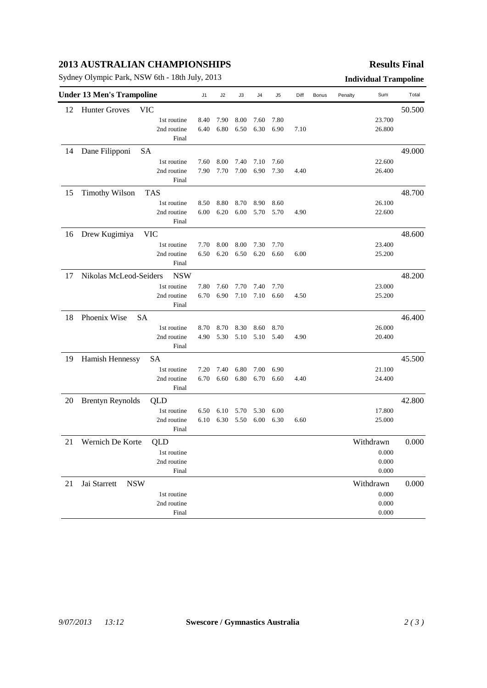## **2013 AUSTRALIAN CHAMPIONSHIPS**

Sydney Olympic Park, NSW 6th - 18th July, 2013 **Individual Trampoline**

### **Results Final**

| <b>Under 13 Men's Trampoline</b> |                            |             | J <sub>1</sub> | J2   | JЗ   | J4   | J5   | Diff | Bonus | Penalty | Sum       | Total  |
|----------------------------------|----------------------------|-------------|----------------|------|------|------|------|------|-------|---------|-----------|--------|
| 12                               | <b>Hunter Groves</b>       | <b>VIC</b>  |                |      |      |      |      |      |       |         |           | 50.500 |
|                                  |                            | 1st routine | 8.40           | 7.90 | 8.00 | 7.60 | 7.80 |      |       |         | 23.700    |        |
|                                  |                            | 2nd routine | 6.40           | 6.80 | 6.50 | 6.30 | 6.90 | 7.10 |       |         | 26.800    |        |
|                                  |                            | Final       |                |      |      |      |      |      |       |         |           |        |
| 14                               | Dane Filipponi             | SA          |                |      |      |      |      |      |       |         |           | 49.000 |
|                                  |                            | 1st routine | 7.60           | 8.00 | 7.40 | 7.10 | 7.60 |      |       |         | 22.600    |        |
|                                  |                            | 2nd routine | 7.90           | 7.70 | 7.00 | 6.90 | 7.30 | 4.40 |       |         | 26.400    |        |
|                                  |                            | Final       |                |      |      |      |      |      |       |         |           |        |
| 15                               | <b>Timothy Wilson</b>      | <b>TAS</b>  |                |      |      |      |      |      |       |         |           | 48.700 |
|                                  |                            | 1st routine | 8.50           | 8.80 | 8.70 | 8.90 | 8.60 |      |       |         | 26.100    |        |
|                                  |                            | 2nd routine | 6.00           | 6.20 | 6.00 | 5.70 | 5.70 | 4.90 |       |         | 22.600    |        |
|                                  |                            | Final       |                |      |      |      |      |      |       |         |           |        |
| 16                               | Drew Kugimiya              | <b>VIC</b>  |                |      |      |      |      |      |       |         |           | 48.600 |
|                                  |                            | 1st routine | 7.70           | 8.00 | 8.00 | 7.30 | 7.70 |      |       |         | 23.400    |        |
|                                  |                            | 2nd routine | 6.50           | 6.20 | 6.50 | 6.20 | 6.60 | 6.00 |       |         | 25.200    |        |
|                                  |                            | Final       |                |      |      |      |      |      |       |         |           |        |
| 17                               | Nikolas McLeod-Seiders     | <b>NSW</b>  |                |      |      |      |      |      |       |         |           | 48.200 |
|                                  |                            | 1st routine | 7.80           | 7.60 | 7.70 | 7.40 | 7.70 |      |       |         | 23.000    |        |
|                                  |                            | 2nd routine | 6.70           | 6.90 | 7.10 | 7.10 | 6.60 | 4.50 |       |         | 25.200    |        |
|                                  |                            | Final       |                |      |      |      |      |      |       |         |           |        |
| 18                               | Phoenix Wise               | <b>SA</b>   |                |      |      |      |      |      |       |         |           | 46.400 |
|                                  |                            | 1st routine | 8.70           | 8.70 | 8.30 | 8.60 | 8.70 |      |       |         | 26.000    |        |
|                                  |                            | 2nd routine | 4.90           | 5.30 | 5.10 | 5.10 | 5.40 | 4.90 |       |         | 20.400    |        |
|                                  |                            | Final       |                |      |      |      |      |      |       |         |           |        |
| 19                               | Hamish Hennessy            | SА          |                |      |      |      |      |      |       |         |           | 45.500 |
|                                  |                            | 1st routine | 7.20           | 7.40 | 6.80 | 7.00 | 6.90 |      |       |         | 21.100    |        |
|                                  |                            | 2nd routine | 6.70           | 6.60 | 6.80 | 6.70 | 6.60 | 4.40 |       |         | 24.400    |        |
|                                  |                            | Final       |                |      |      |      |      |      |       |         |           |        |
| 20                               | <b>Brentyn Reynolds</b>    | QLD         |                |      |      |      |      |      |       |         |           | 42.800 |
|                                  |                            | 1st routine | 6.50           | 6.10 | 5.70 | 5.30 | 6.00 |      |       |         | 17.800    |        |
|                                  |                            | 2nd routine | 6.10           | 6.30 | 5.50 | 6.00 | 6.30 | 6.60 |       |         | 25.000    |        |
|                                  |                            | Final       |                |      |      |      |      |      |       |         |           |        |
| 21                               | Wernich De Korte           | QLD         |                |      |      |      |      |      |       |         | Withdrawn | 0.000  |
|                                  |                            | 1st routine |                |      |      |      |      |      |       |         | $0.000\,$ |        |
|                                  |                            | 2nd routine |                |      |      |      |      |      |       |         | 0.000     |        |
|                                  |                            | Final       |                |      |      |      |      |      |       |         | 0.000     |        |
| 21                               | Jai Starrett<br><b>NSW</b> |             |                |      |      |      |      |      |       |         | Withdrawn | 0.000  |
|                                  |                            | 1st routine |                |      |      |      |      |      |       |         | 0.000     |        |
|                                  |                            | 2nd routine |                |      |      |      |      |      |       |         | 0.000     |        |
|                                  |                            | Final       |                |      |      |      |      |      |       |         | 0.000     |        |